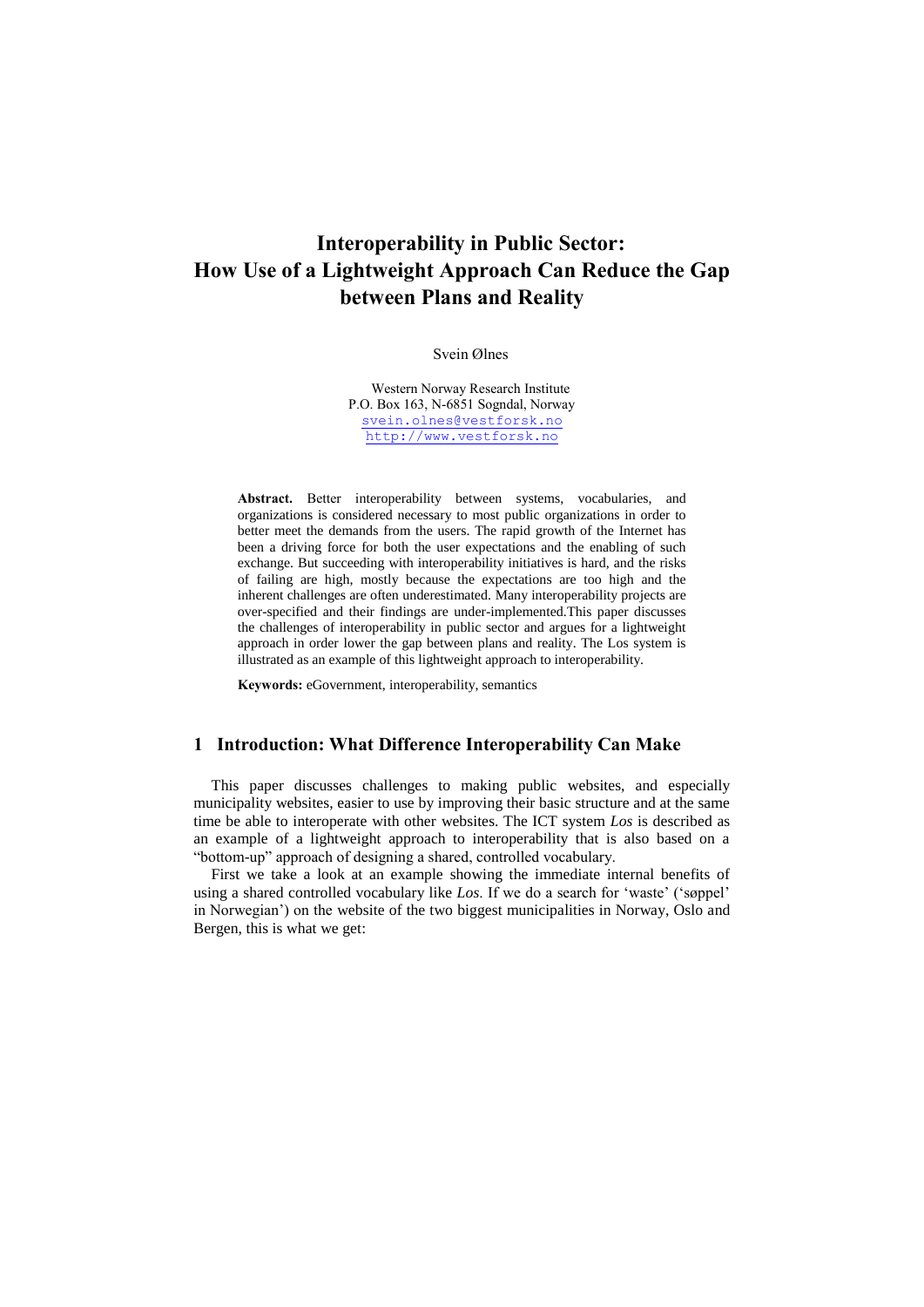# **Interoperability in Public Sector: How Use of a Lightweight Approach Can Reduce the Gap between Plans and Reality**

## Svein Ølnes

Western Norway Research Institute P.O. Box 163, N-6851 Sogndal, Norway [svein.olnes@vestforsk.no](mailto:svein.olnes@vestforsk.no) [http://www.vestforsk.no](http://www.vestforsk.no/)

**Abstract.** Better interoperability between systems, vocabularies, and organizations is considered necessary to most public organizations in order to better meet the demands from the users. The rapid growth of the Internet has been a driving force for both the user expectations and the enabling of such exchange. But succeeding with interoperability initiatives is hard, and the risks of failing are high, mostly because the expectations are too high and the inherent challenges are often underestimated. Many interoperability projects are over-specified and their findings are under-implemented.This paper discusses the challenges of interoperability in public sector and argues for a lightweight approach in order lower the gap between plans and reality. The Los system is illustrated as an example of this lightweight approach to interoperability.

**Keywords:** eGovernment, interoperability, semantics

# **1 Introduction: What Difference Interoperability Can Make**

This paper discusses challenges to making public websites, and especially municipality websites, easier to use by improving their basic structure and at the same time be able to interoperate with other websites. The ICT system *Los* is described as an example of a lightweight approach to interoperability that is also based on a "bottom-up" approach of designing a shared, controlled vocabulary.

First we take a look at an example showing the immediate internal benefits of using a shared controlled vocabulary like *Los*. If we do a search for "waste" ("søppel" in Norwegian") on the website of the two biggest municipalities in Norway, Oslo and Bergen, this is what we get: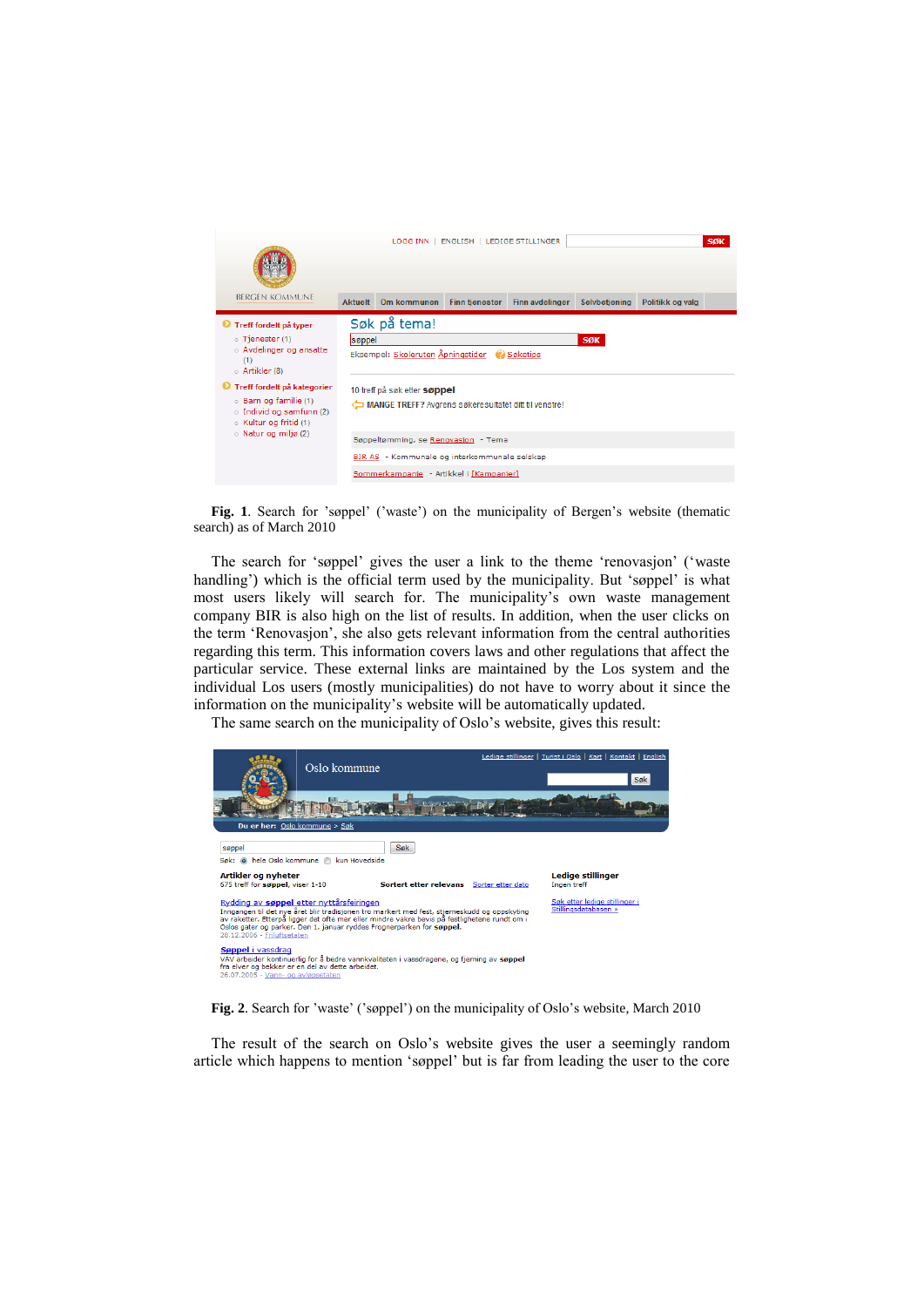

Fig. 1. Search for 'søppel' ('waste') on the municipality of Bergen's website (thematic search) as of March 2010

The search for "søppel" gives the user a link to the theme "renovasjon" ("waste handling') which is the official term used by the municipality. But 'søppel' is what most users likely will search for. The municipality"s own waste management company BIR is also high on the list of results. In addition, when the user clicks on the term "Renovasjon", she also gets relevant information from the central authorities regarding this term. This information covers laws and other regulations that affect the particular service. These external links are maintained by the Los system and the individual Los users (mostly municipalities) do not have to worry about it since the information on the municipality"s website will be automatically updated.

The same search on the municipality of Oslo"s website, gives this result:



**Fig. 2**. Search for "waste" ("søppel") on the municipality of Oslo"s website, March 2010

The result of the search on Oslo"s website gives the user a seemingly random article which happens to mention "søppel" but is far from leading the user to the core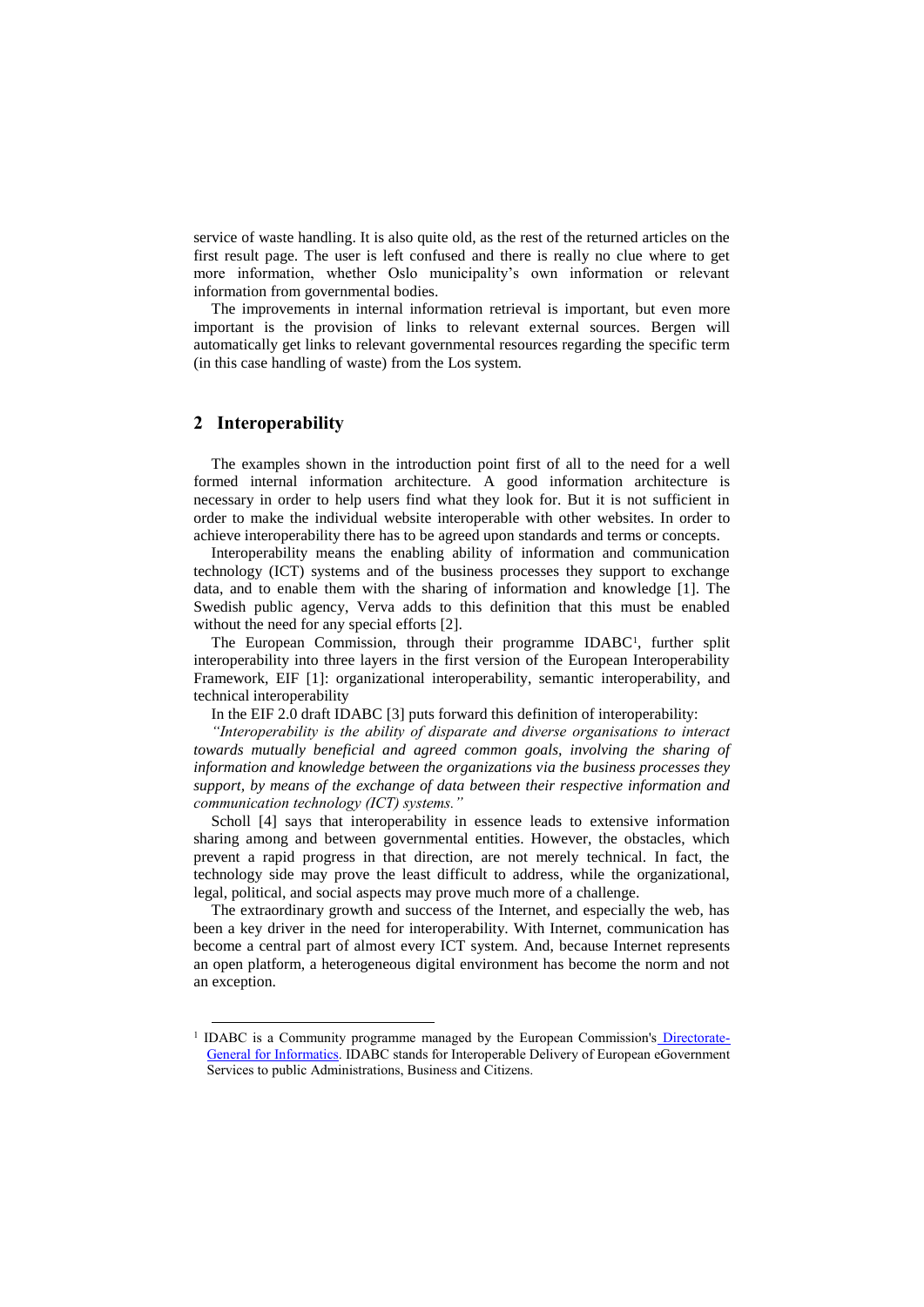service of waste handling. It is also quite old, as the rest of the returned articles on the first result page. The user is left confused and there is really no clue where to get more information, whether Oslo municipality"s own information or relevant information from governmental bodies.

The improvements in internal information retrieval is important, but even more important is the provision of links to relevant external sources. Bergen will automatically get links to relevant governmental resources regarding the specific term (in this case handling of waste) from the Los system.

# **2 Interoperability**

-

The examples shown in the introduction point first of all to the need for a well formed internal information architecture. A good information architecture is necessary in order to help users find what they look for. But it is not sufficient in order to make the individual website interoperable with other websites. In order to achieve interoperability there has to be agreed upon standards and terms or concepts.

Interoperability means the enabling ability of information and communication technology (ICT) systems and of the business processes they support to exchange data, and to enable them with the sharing of information and knowledge [1]. The Swedish public agency, Verva adds to this definition that this must be enabled without the need for any special efforts [2].

The European Commission, through their programme IDABC<sup>1</sup>, further split interoperability into three layers in the first version of the European Interoperability Framework, EIF [1]: organizational interoperability, semantic interoperability, and technical interoperability

In the EIF 2.0 draft IDABC [3] puts forward this definition of interoperability:

*"Interoperability is the ability of disparate and diverse organisations to interact*  towards mutually beneficial and agreed common goals, involving the sharing of *information and knowledge between the organizations via the business processes they support, by means of the exchange of data between their respective information and communication technology (ICT) systems."*

Scholl [4] says that interoperability in essence leads to extensive information sharing among and between governmental entities. However, the obstacles, which prevent a rapid progress in that direction, are not merely technical. In fact, the technology side may prove the least difficult to address, while the organizational, legal, political, and social aspects may prove much more of a challenge.

The extraordinary growth and success of the Internet, and especially the web, has been a key driver in the need for interoperability. With Internet, communication has become a central part of almost every ICT system. And, because Internet represents an open platform, a heterogeneous digital environment has become the norm and not an exception.

<sup>&</sup>lt;sup>1</sup> IDABC is a Community programme managed by the European Commission's [Directorate-](http://ec.europa.eu/dgs/informatics/contact/index_en.htm)[General for Informatics.](http://ec.europa.eu/dgs/informatics/contact/index_en.htm) IDABC stands for Interoperable Delivery of European eGovernment Services to public Administrations, Business and Citizens.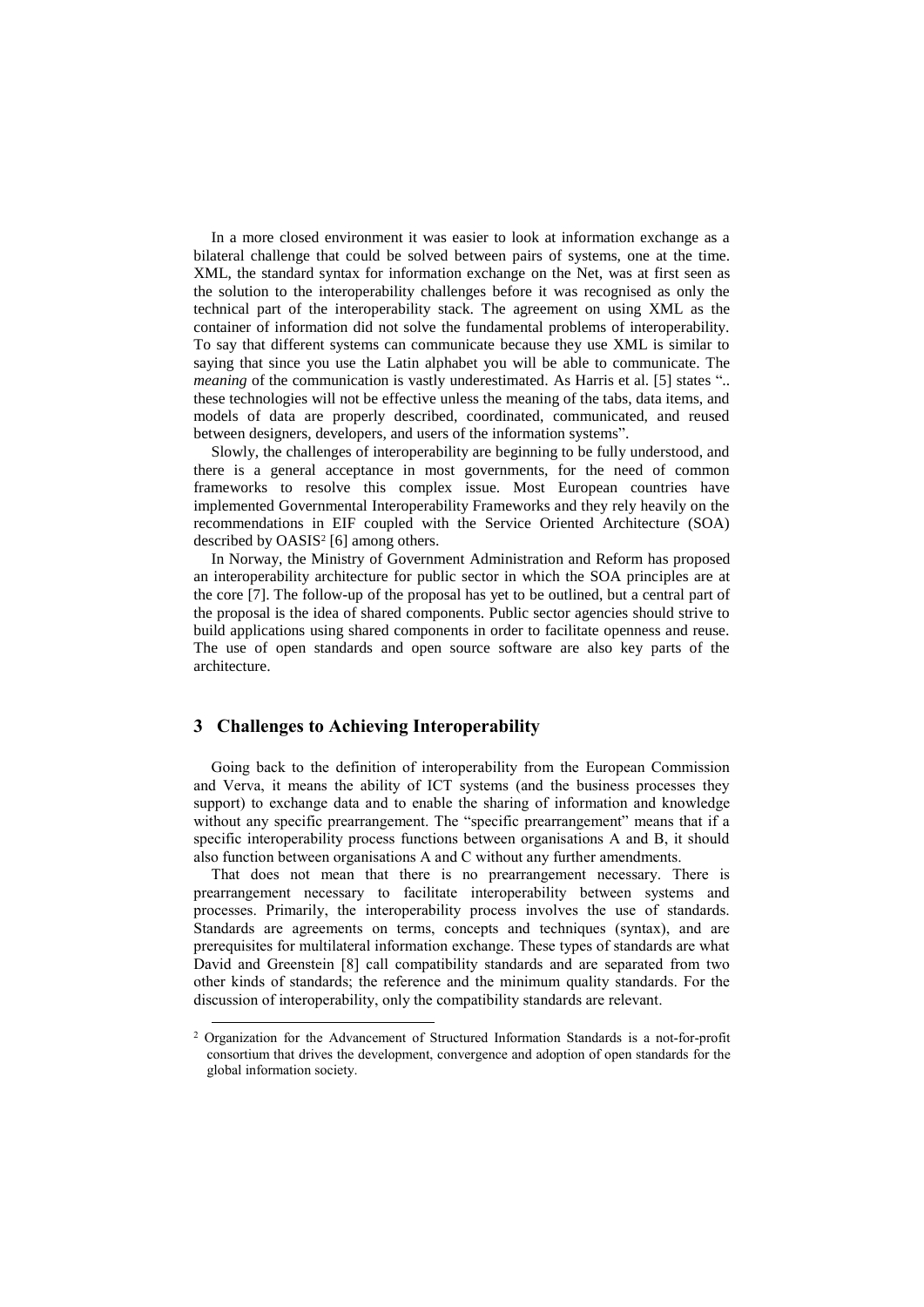In a more closed environment it was easier to look at information exchange as a bilateral challenge that could be solved between pairs of systems, one at the time. XML, the standard syntax for information exchange on the Net, was at first seen as the solution to the interoperability challenges before it was recognised as only the technical part of the interoperability stack. The agreement on using XML as the container of information did not solve the fundamental problems of interoperability. To say that different systems can communicate because they use XML is similar to saying that since you use the Latin alphabet you will be able to communicate. The *meaning* of the communication is vastly underestimated. As Harris et al. [5] states ".. these technologies will not be effective unless the meaning of the tabs, data items, and models of data are properly described, coordinated, communicated, and reused between designers, developers, and users of the information systems".

Slowly, the challenges of interoperability are beginning to be fully understood, and there is a general acceptance in most governments, for the need of common frameworks to resolve this complex issue. Most European countries have implemented Governmental Interoperability Frameworks and they rely heavily on the recommendations in EIF coupled with the Service Oriented Architecture (SOA) described by OASIS<sup>2</sup> [6] among others.

In Norway, the Ministry of Government Administration and Reform has proposed an interoperability architecture for public sector in which the SOA principles are at the core [7]. The follow-up of the proposal has yet to be outlined, but a central part of the proposal is the idea of shared components. Public sector agencies should strive to build applications using shared components in order to facilitate openness and reuse. The use of open standards and open source software are also key parts of the architecture.

## **3 Challenges to Achieving Interoperability**

-

Going back to the definition of interoperability from the European Commission and Verva, it means the ability of ICT systems (and the business processes they support) to exchange data and to enable the sharing of information and knowledge without any specific prearrangement. The "specific prearrangement" means that if a specific interoperability process functions between organisations A and B, it should also function between organisations A and C without any further amendments.

That does not mean that there is no prearrangement necessary. There is prearrangement necessary to facilitate interoperability between systems and processes. Primarily, the interoperability process involves the use of standards. Standards are agreements on terms, concepts and techniques (syntax), and are prerequisites for multilateral information exchange. These types of standards are what David and Greenstein [8] call compatibility standards and are separated from two other kinds of standards; the reference and the minimum quality standards. For the discussion of interoperability, only the compatibility standards are relevant.

<sup>2</sup> Organization for the Advancement of Structured Information Standards is a not-for-profit consortium that drives the development, convergence and adoption of open standards for the global information society.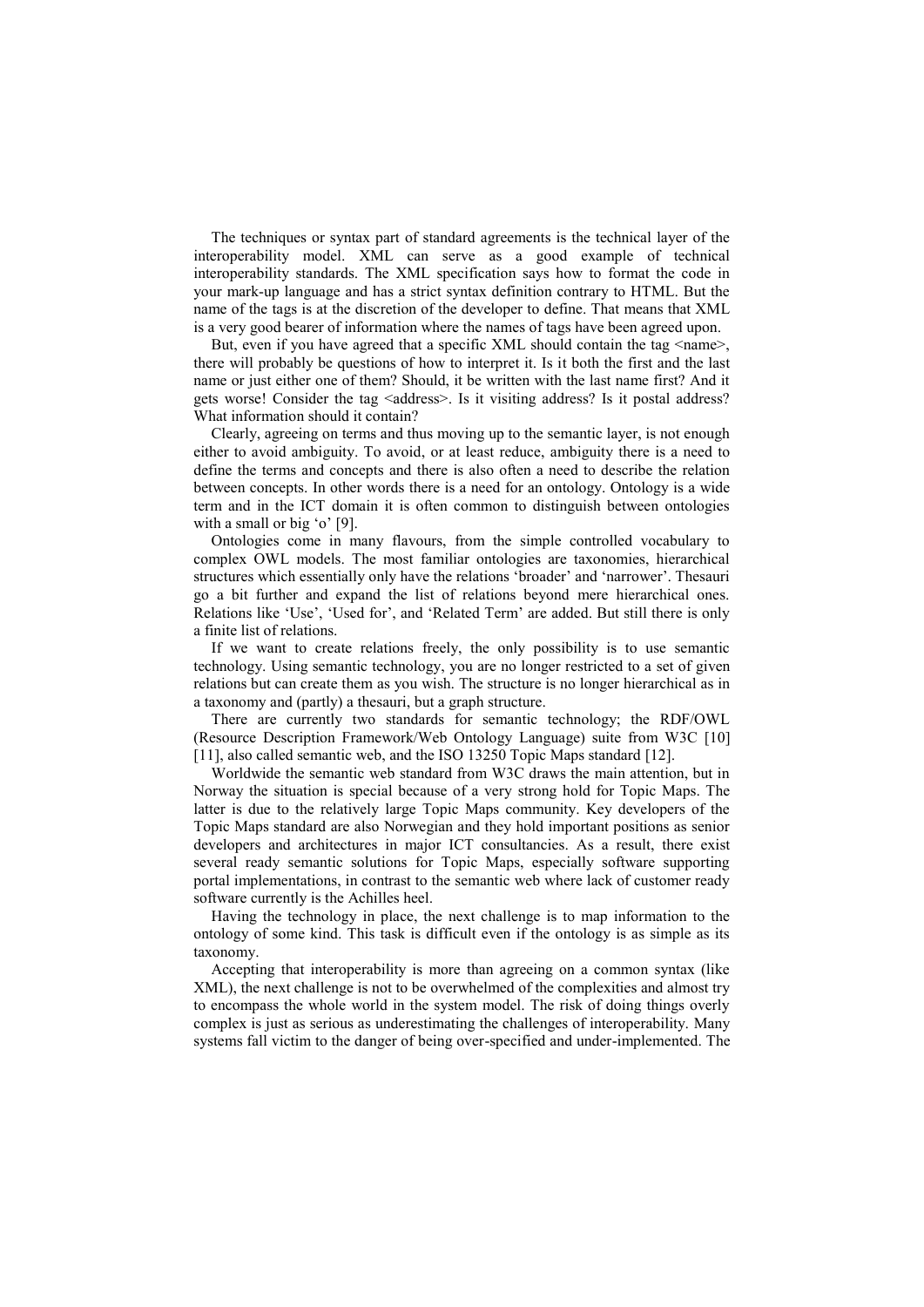The techniques or syntax part of standard agreements is the technical layer of the interoperability model. XML can serve as a good example of technical interoperability standards. The XML specification says how to format the code in your mark-up language and has a strict syntax definition contrary to HTML. But the name of the tags is at the discretion of the developer to define. That means that XML is a very good bearer of information where the names of tags have been agreed upon.

But, even if you have agreed that a specific XML should contain the tag  $\langle$ name $\rangle$ , there will probably be questions of how to interpret it. Is it both the first and the last name or just either one of them? Should, it be written with the last name first? And it gets worse! Consider the tag <address>. Is it visiting address? Is it postal address? What information should it contain?

Clearly, agreeing on terms and thus moving up to the semantic layer, is not enough either to avoid ambiguity. To avoid, or at least reduce, ambiguity there is a need to define the terms and concepts and there is also often a need to describe the relation between concepts. In other words there is a need for an ontology. Ontology is a wide term and in the ICT domain it is often common to distinguish between ontologies with a small or big  $\omega$  [9].

Ontologies come in many flavours, from the simple controlled vocabulary to complex OWL models. The most familiar ontologies are taxonomies, hierarchical structures which essentially only have the relations 'broader' and 'narrower'. Thesauri go a bit further and expand the list of relations beyond mere hierarchical ones. Relations like 'Use', 'Used for', and 'Related Term' are added. But still there is only a finite list of relations.

If we want to create relations freely, the only possibility is to use semantic technology. Using semantic technology, you are no longer restricted to a set of given relations but can create them as you wish. The structure is no longer hierarchical as in a taxonomy and (partly) a thesauri, but a graph structure.

There are currently two standards for semantic technology; the RDF/OWL (Resource Description Framework/Web Ontology Language) suite from W3C [10] [11], also called semantic web, and the ISO 13250 Topic Maps standard [12].

Worldwide the semantic web standard from W3C draws the main attention, but in Norway the situation is special because of a very strong hold for Topic Maps. The latter is due to the relatively large Topic Maps community. Key developers of the Topic Maps standard are also Norwegian and they hold important positions as senior developers and architectures in major ICT consultancies. As a result, there exist several ready semantic solutions for Topic Maps, especially software supporting portal implementations, in contrast to the semantic web where lack of customer ready software currently is the Achilles heel.

Having the technology in place, the next challenge is to map information to the ontology of some kind. This task is difficult even if the ontology is as simple as its taxonomy.

Accepting that interoperability is more than agreeing on a common syntax (like XML), the next challenge is not to be overwhelmed of the complexities and almost try to encompass the whole world in the system model. The risk of doing things overly complex is just as serious as underestimating the challenges of interoperability. Many systems fall victim to the danger of being over-specified and under-implemented. The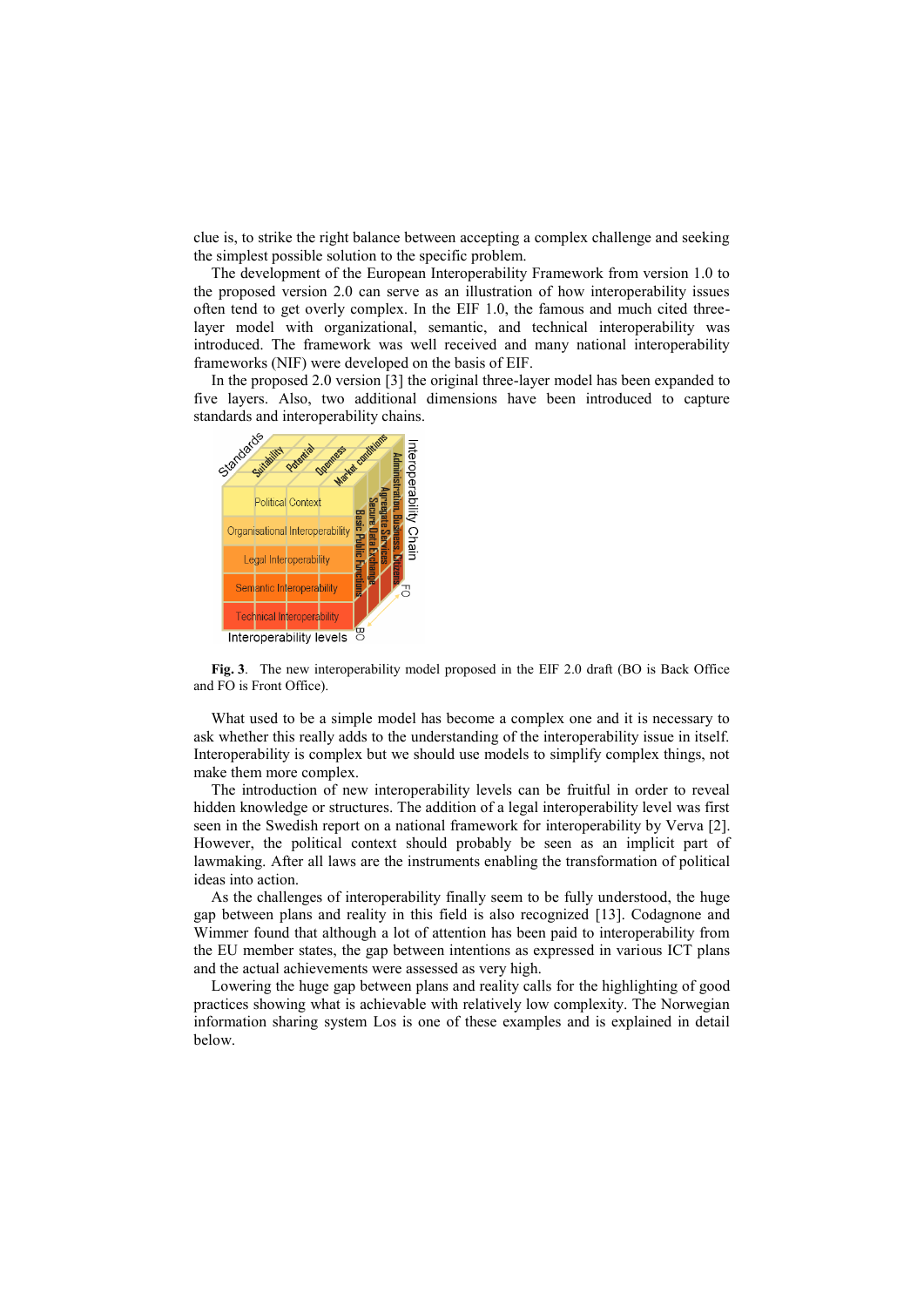clue is, to strike the right balance between accepting a complex challenge and seeking the simplest possible solution to the specific problem.

The development of the European Interoperability Framework from version 1.0 to the proposed version 2.0 can serve as an illustration of how interoperability issues often tend to get overly complex. In the EIF 1.0, the famous and much cited threelayer model with organizational, semantic, and technical interoperability was introduced. The framework was well received and many national interoperability frameworks (NIF) were developed on the basis of EIF.

In the proposed 2.0 version [3] the original three-layer model has been expanded to five layers. Also, two additional dimensions have been introduced to capture standards and interoperability chains.





What used to be a simple model has become a complex one and it is necessary to ask whether this really adds to the understanding of the interoperability issue in itself. Interoperability is complex but we should use models to simplify complex things, not make them more complex.

The introduction of new interoperability levels can be fruitful in order to reveal hidden knowledge or structures. The addition of a legal interoperability level was first seen in the Swedish report on a national framework for interoperability by Verva [2]. However, the political context should probably be seen as an implicit part of lawmaking. After all laws are the instruments enabling the transformation of political ideas into action.

As the challenges of interoperability finally seem to be fully understood, the huge gap between plans and reality in this field is also recognized [13]. Codagnone and Wimmer found that although a lot of attention has been paid to interoperability from the EU member states, the gap between intentions as expressed in various ICT plans and the actual achievements were assessed as very high.

Lowering the huge gap between plans and reality calls for the highlighting of good practices showing what is achievable with relatively low complexity. The Norwegian information sharing system Los is one of these examples and is explained in detail below.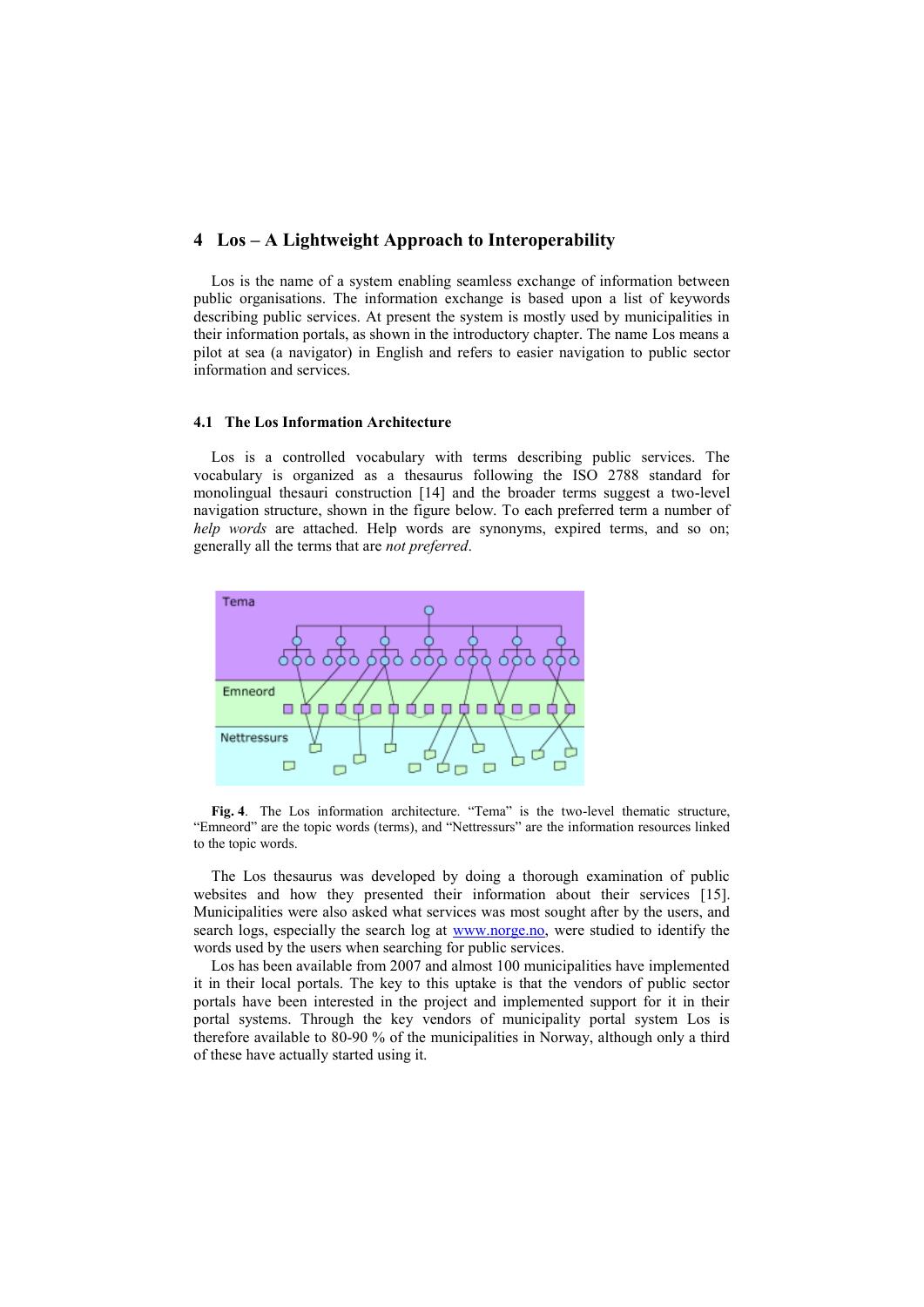# **4 Los – A Lightweight Approach to Interoperability**

Los is the name of a system enabling seamless exchange of information between public organisations. The information exchange is based upon a list of keywords describing public services. At present the system is mostly used by municipalities in their information portals, as shown in the introductory chapter. The name Los means a pilot at sea (a navigator) in English and refers to easier navigation to public sector information and services.

#### **4.1 The Los Information Architecture**

Los is a controlled vocabulary with terms describing public services. The vocabulary is organized as a thesaurus following the ISO 2788 standard for monolingual thesauri construction [14] and the broader terms suggest a two-level navigation structure, shown in the figure below. To each preferred term a number of *help words* are attached. Help words are synonyms, expired terms, and so on; generally all the terms that are *not preferred*.



**Fig. 4**. The Los information architecture. "Tema" is the two-level thematic structure, "Emneord" are the topic words (terms), and "Nettressurs" are the information resources linked to the topic words.

The Los thesaurus was developed by doing a thorough examination of public websites and how they presented their information about their services [15]. Municipalities were also asked what services was most sought after by the users, and search logs, especially the search log at [www.norge.no,](http://www.norge.no/) were studied to identify the words used by the users when searching for public services.

Los has been available from 2007 and almost 100 municipalities have implemented it in their local portals. The key to this uptake is that the vendors of public sector portals have been interested in the project and implemented support for it in their portal systems. Through the key vendors of municipality portal system Los is therefore available to 80-90 % of the municipalities in Norway, although only a third of these have actually started using it.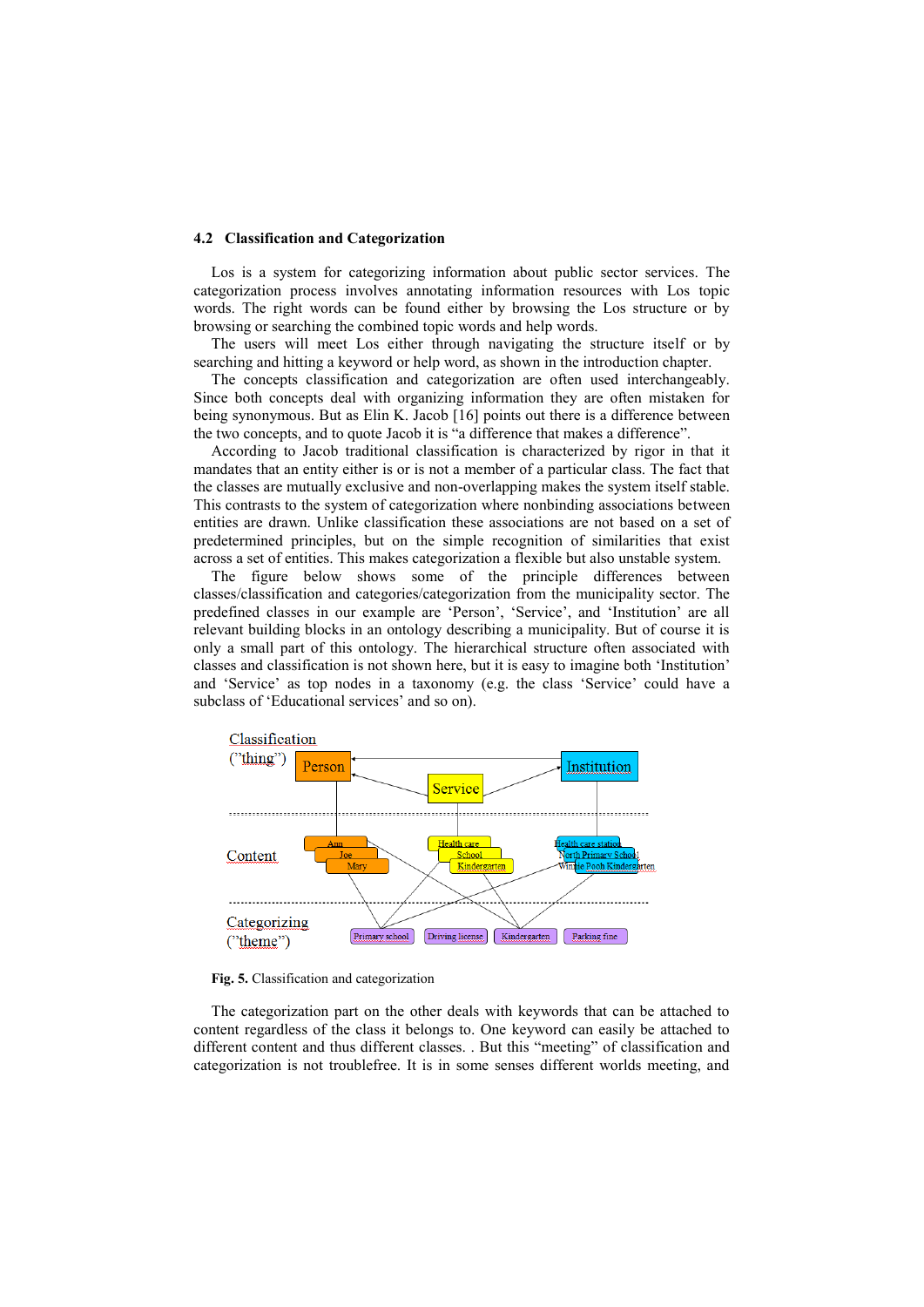## **4.2 Classification and Categorization**

Los is a system for categorizing information about public sector services. The categorization process involves annotating information resources with Los topic words. The right words can be found either by browsing the Los structure or by browsing or searching the combined topic words and help words.

The users will meet Los either through navigating the structure itself or by searching and hitting a keyword or help word, as shown in the introduction chapter.

The concepts classification and categorization are often used interchangeably. Since both concepts deal with organizing information they are often mistaken for being synonymous. But as Elin K. Jacob [16] points out there is a difference between the two concepts, and to quote Jacob it is "a difference that makes a difference".

According to Jacob traditional classification is characterized by rigor in that it mandates that an entity either is or is not a member of a particular class. The fact that the classes are mutually exclusive and non-overlapping makes the system itself stable. This contrasts to the system of categorization where nonbinding associations between entities are drawn. Unlike classification these associations are not based on a set of predetermined principles, but on the simple recognition of similarities that exist across a set of entities. This makes categorization a flexible but also unstable system.

The figure below shows some of the principle differences between classes/classification and categories/categorization from the municipality sector. The predefined classes in our example are 'Person', 'Service', and 'Institution' are all relevant building blocks in an ontology describing a municipality. But of course it is only a small part of this ontology. The hierarchical structure often associated with classes and classification is not shown here, but it is easy to imagine both 'Institution' and 'Service' as top nodes in a taxonomy (e.g. the class 'Service' could have a subclass of 'Educational services' and so on).



**Fig. 5.** Classification and categorization

The categorization part on the other deals with keywords that can be attached to content regardless of the class it belongs to. One keyword can easily be attached to different content and thus different classes. . But this "meeting" of classification and categorization is not troublefree. It is in some senses different worlds meeting, and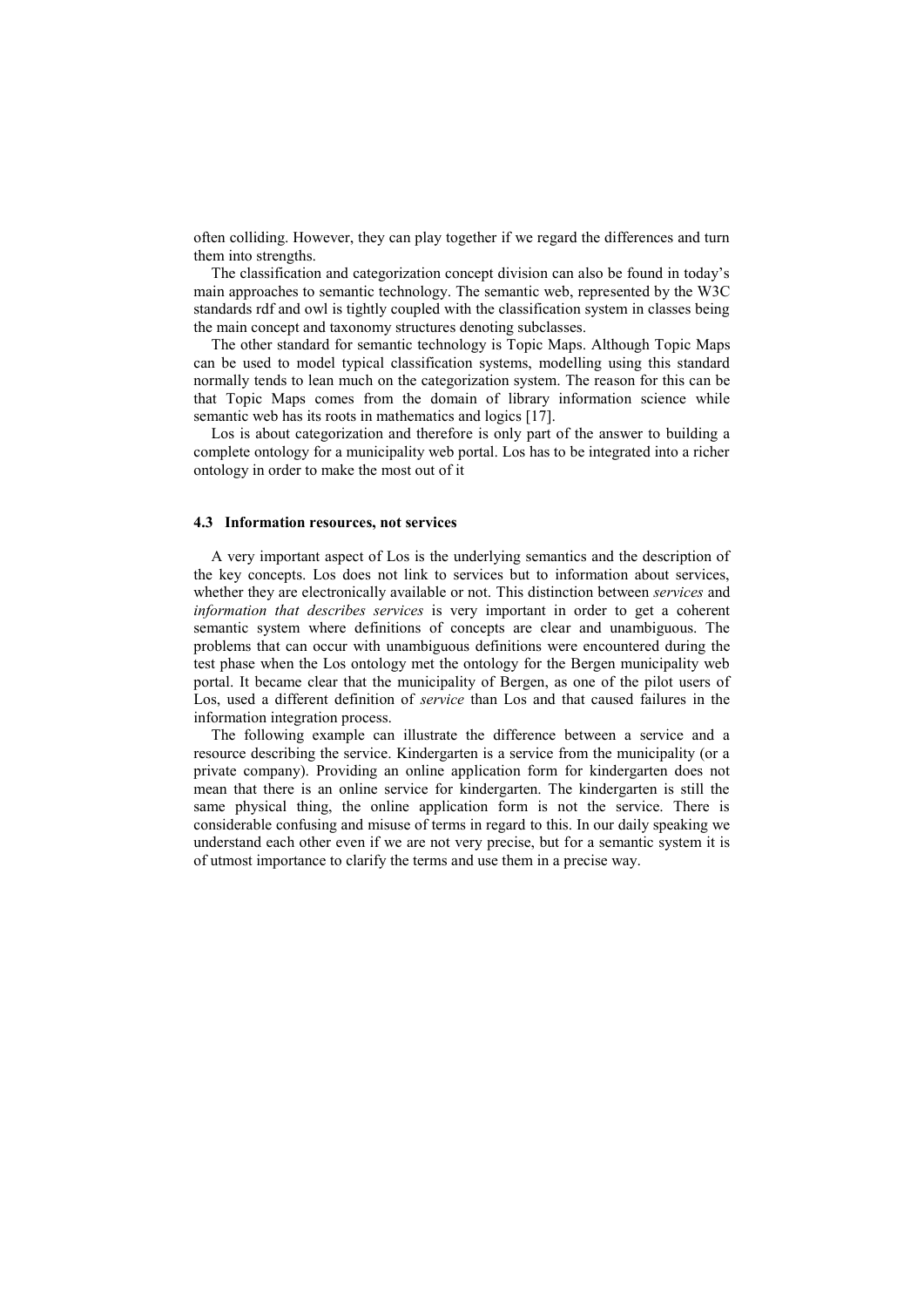often colliding. However, they can play together if we regard the differences and turn them into strengths.

The classification and categorization concept division can also be found in today's main approaches to semantic technology. The semantic web, represented by the W3C standards rdf and owl is tightly coupled with the classification system in classes being the main concept and taxonomy structures denoting subclasses.

The other standard for semantic technology is Topic Maps. Although Topic Maps can be used to model typical classification systems, modelling using this standard normally tends to lean much on the categorization system. The reason for this can be that Topic Maps comes from the domain of library information science while semantic web has its roots in mathematics and logics [17].

Los is about categorization and therefore is only part of the answer to building a complete ontology for a municipality web portal. Los has to be integrated into a richer ontology in order to make the most out of it

## **4.3 Information resources, not services**

A very important aspect of Los is the underlying semantics and the description of the key concepts. Los does not link to services but to information about services, whether they are electronically available or not. This distinction between *services* and *information that describes services* is very important in order to get a coherent semantic system where definitions of concepts are clear and unambiguous. The problems that can occur with unambiguous definitions were encountered during the test phase when the Los ontology met the ontology for the Bergen municipality web portal. It became clear that the municipality of Bergen, as one of the pilot users of Los, used a different definition of *service* than Los and that caused failures in the information integration process.

The following example can illustrate the difference between a service and a resource describing the service. Kindergarten is a service from the municipality (or a private company). Providing an online application form for kindergarten does not mean that there is an online service for kindergarten. The kindergarten is still the same physical thing, the online application form is not the service. There is considerable confusing and misuse of terms in regard to this. In our daily speaking we understand each other even if we are not very precise, but for a semantic system it is of utmost importance to clarify the terms and use them in a precise way.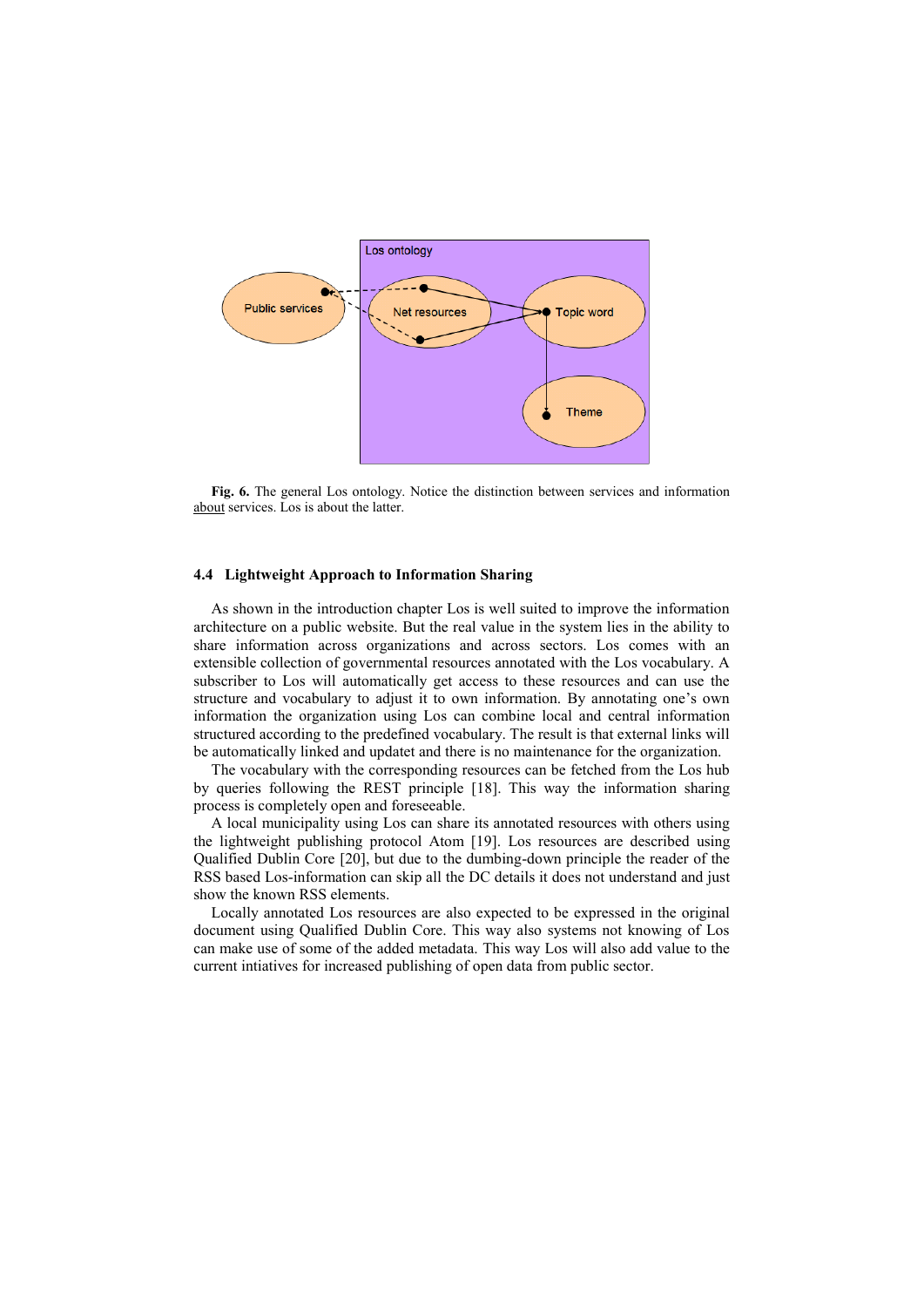

**Fig. 6.** The general Los ontology. Notice the distinction between services and information about services. Los is about the latter.

## **4.4 Lightweight Approach to Information Sharing**

As shown in the introduction chapter Los is well suited to improve the information architecture on a public website. But the real value in the system lies in the ability to share information across organizations and across sectors. Los comes with an extensible collection of governmental resources annotated with the Los vocabulary. A subscriber to Los will automatically get access to these resources and can use the structure and vocabulary to adjust it to own information. By annotating one's own information the organization using Los can combine local and central information structured according to the predefined vocabulary. The result is that external links will be automatically linked and updatet and there is no maintenance for the organization.

The vocabulary with the corresponding resources can be fetched from the Los hub by queries following the REST principle [18]. This way the information sharing process is completely open and foreseeable.

A local municipality using Los can share its annotated resources with others using the lightweight publishing protocol Atom [19]. Los resources are described using Qualified Dublin Core [20], but due to the dumbing-down principle the reader of the RSS based Los-information can skip all the DC details it does not understand and just show the known RSS elements.

Locally annotated Los resources are also expected to be expressed in the original document using Qualified Dublin Core. This way also systems not knowing of Los can make use of some of the added metadata. This way Los will also add value to the current intiatives for increased publishing of open data from public sector.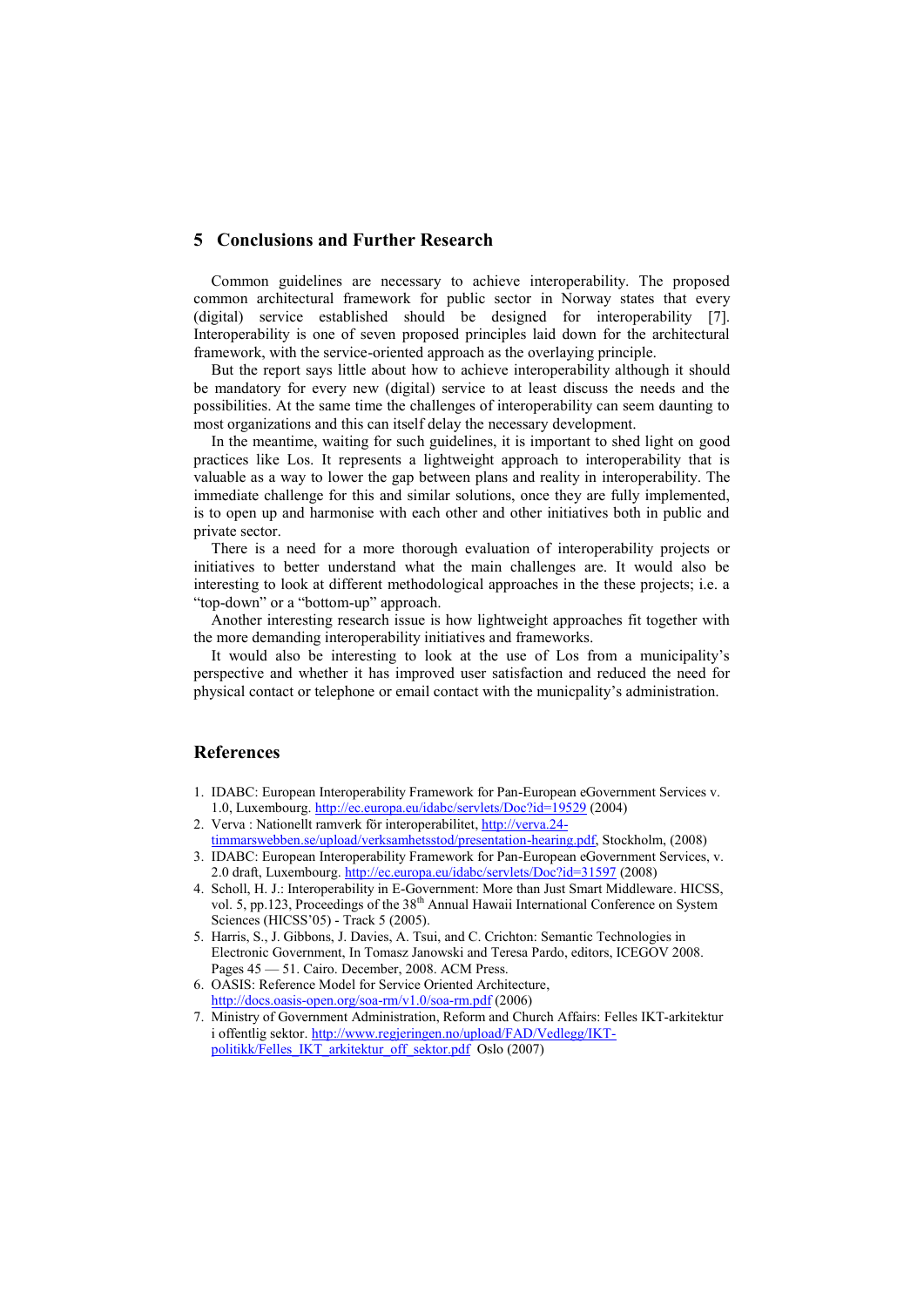# **5 Conclusions and Further Research**

Common guidelines are necessary to achieve interoperability. The proposed common architectural framework for public sector in Norway states that every (digital) service established should be designed for interoperability [7]. Interoperability is one of seven proposed principles laid down for the architectural framework, with the service-oriented approach as the overlaying principle.

But the report says little about how to achieve interoperability although it should be mandatory for every new (digital) service to at least discuss the needs and the possibilities. At the same time the challenges of interoperability can seem daunting to most organizations and this can itself delay the necessary development.

In the meantime, waiting for such guidelines, it is important to shed light on good practices like Los. It represents a lightweight approach to interoperability that is valuable as a way to lower the gap between plans and reality in interoperability. The immediate challenge for this and similar solutions, once they are fully implemented, is to open up and harmonise with each other and other initiatives both in public and private sector.

There is a need for a more thorough evaluation of interoperability projects or initiatives to better understand what the main challenges are. It would also be interesting to look at different methodological approaches in the these projects; i.e. a "top-down" or a "bottom-up" approach.

Another interesting research issue is how lightweight approaches fit together with the more demanding interoperability initiatives and frameworks.

It would also be interesting to look at the use of Los from a municipality's perspective and whether it has improved user satisfaction and reduced the need for physical contact or telephone or email contact with the municpality's administration.

# **References**

- 1. IDABC: European Interoperability Framework for Pan-European eGovernment Services v. 1.0, Luxembourg.<http://ec.europa.eu/idabc/servlets/Doc?id=19529> (2004)
- 2. Verva : Nationellt ramverk för interoperabilitet[, http://verva.24](http://verva.24-timmarswebben.se/upload/verksamhetsstod/presentation-hearing.pdf) [timmarswebben.se/upload/verksamhetsstod/presentation-hearing.pdf,](http://verva.24-timmarswebben.se/upload/verksamhetsstod/presentation-hearing.pdf) Stockholm, (2008)
- 3. IDABC: European Interoperability Framework for Pan-European eGovernment Services, v. 2.0 draft, Luxembourg.<http://ec.europa.eu/idabc/servlets/Doc?id=31597> (2008)
- 4. Scholl, H. J.: Interoperability in E-Government: More than Just Smart Middleware. HICSS, vol. 5, pp.123, Proceedings of the 38<sup>th</sup> Annual Hawaii International Conference on System Sciences (HICSS'05) - Track 5 (2005).
- 5. Harris, S., J. Gibbons, J. Davies, A. Tsui, and C. Crichton: Semantic Technologies in Electronic Government, In Tomasz Janowski and Teresa Pardo, editors, ICEGOV 2008. Pages 45 — 51. Cairo. December, 2008. ACM Press.
- 6. OASIS: Reference Model for Service Oriented Architecture, <http://docs.oasis-open.org/soa-rm/v1.0/soa-rm.pdf> (2006)
- 7. Ministry of Government Administration, Reform and Church Affairs: Felles IKT-arkitektur i offentlig sektor. [http://www.regjeringen.no/upload/FAD/Vedlegg/IKT](http://www.regjeringen.no/upload/FAD/Vedlegg/IKT-politikk/Felles_IKT_arkitektur_off_sektor.pdf)[politikk/Felles\\_IKT\\_arkitektur\\_off\\_sektor.pdf](http://www.regjeringen.no/upload/FAD/Vedlegg/IKT-politikk/Felles_IKT_arkitektur_off_sektor.pdf) Oslo (2007)